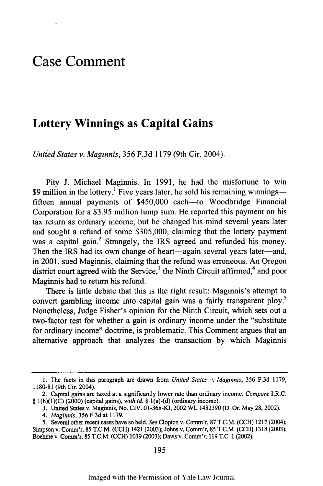## **Case Comment**

## **Lottery Winnings as Capital Gains**

*United States v. Maginnis,* 356 F.3d 1179 (9th Cir. 2004).

Pity J. Michael Maginnis. In 1991, he had the misfortune to win \$9 million in the lottery.<sup>1</sup> Five years later, he sold his remaining winningsfifteen annual payments of \$450,000 each—to Woodbridge Financial Corporation for a \$3.95 million lump sum. He reported this payment on his tax return as ordinary income, but he changed his mind several years later and sought a refund of some \$305,000, claiming that the lottery payment was a capital gain.<sup>2</sup> Strangely, the IRS agreed and refunded his money. Then the IRS had its own change of heart-again several years later-and, in 2001, sued Maginnis, claiming that the refund was erroneous. An Oregon district court agreed with the Service,<sup>3</sup> the Ninth Circuit affirmed,<sup>4</sup> and poor Maginnis had to return his refund.

There is little debate that this is the right result: Maginnis's attempt to convert gambling income into capital gain was a fairly transparent ploy.<sup>5</sup> Nonetheless, Judge Fisher's opinion for the Ninth Circuit, which sets out a two-factor test for whether a gain is ordinary income under the "substitute for ordinary income" doctrine, is problematic. This Comment argues that an alternative approach that analyzes the transaction by which Maginnis

<sup>1.</sup> The facts in this paragraph are drawn from *United States v. Maginnis,* 356 F.3d 1179, 1180-81 (9th Cir. 2004).

<sup>2.</sup> Capital gains are taxed at a significantly lower rate than ordinary income. *Compare* I.R.C. § 1(h)(1)(C) (2000) (capital gains), *with id. §* 1(a)-(d) (ordinary income).

<sup>3.</sup> United States v. Maginnis, No. CIV. 01-368-KI, 2002 WL 1482390 (D. Or. May 28, 2002).

*<sup>4.</sup> Maginnis,* 356 F.3d at 1179.

<sup>5.</sup> Several other recent cases have so held. *See* Clopton v. Comm'r, 87 T.C.M. (CCH) 1217 (2004); Simpson v. Comm'r, 85 T.C.M. (CCH) 1421 (2003); Johns v. Comm'r, 85 T.C.M. (CCH) 1318 (2003); Boehme v. Comm'r, 85 T.C.M. (CCH) 1039 (2003); Davis v. Comm'r, 119 T.C. 1 (2002).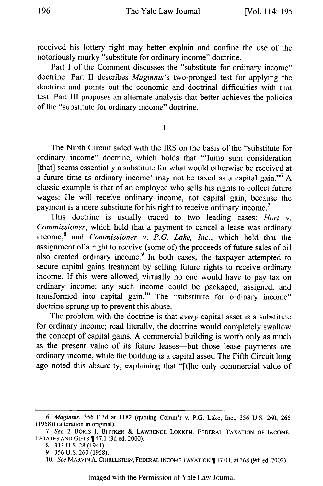received his lottery right may better explain and confine the use of the notoriously murky "substitute for ordinary income" doctrine.

Part I of the Comment discusses the "substitute for ordinary income" doctrine. Part II describes *Maginnis's* two-pronged test for applying the doctrine and points out the economic and doctrinal difficulties with that test. Part III proposes an alternate analysis that better achieves the policies of the "substitute for ordinary income" doctrine.

**I**

The Ninth Circuit sided with the IRS on the basis of the "substitute for ordinary income" doctrine, which holds that "'lump sum consideration [that] seems essentially a substitute for what would otherwise be received at a future time as ordinary income' may not be taxed as a capital gain."6 A classic example is that of an employee who sells his rights to collect future wages: He will receive ordinary income, not capital gain, because the payment is a mere substitute for his right to receive ordinary income.<sup>7</sup>

This doctrine is usually traced to two leading cases: *Hort v. Commissioner,* which held that a payment to cancel a lease was ordinary income,<sup>8</sup> and *Commissioner v. P.G. Lake, Inc.*, which held that the assignment of a right to receive (some of) the proceeds of future sales of oil also created ordinary income.<sup>9</sup> In both cases, the taxpayer attempted to secure capital gains treatment by selling future rights to receive ordinary income. If this were allowed, virtually no one would have to pay tax on ordinary income; any such income could be packaged, assigned, and transformed into capital gain.<sup>10</sup> The "substitute for ordinary income" doctrine sprung up to prevent this abuse.

The problem with the doctrine is that *every* capital asset is a substitute for ordinary income; read literally, the doctrine would completely swallow the concept of capital gains. A commercial building is worth only as much as the present value of its future leases—but those lease payments are ordinary income, while the building is a capital asset. The Fifth Circuit long ago noted this absurdity, explaining that "[t]he only commercial value of

*<sup>6.</sup> Maginnis,* 356 F.3d at 1182 (quoting Comm'r v. P.G. Lake, Inc., 356 U.S. 260, 265 (1958)) (alteration in original).

*<sup>7.</sup> See* 2 BORIS I. BITTKER & LAWRENCE LOKKEN, FEDERAL TAXATION OF INCOME, ESTATES AND GIFTS  $\P$  47.1 (3d ed. 2000).

<sup>8. 313</sup> U.S. 28 (1941).

<sup>9. 356</sup> U.S. 260 (1958).

<sup>10.</sup> *See* MARVIN A. CHIRELSTEIN, FEDERAL INCOME TAXATION 17.03, at 368 (9th ed. 2002).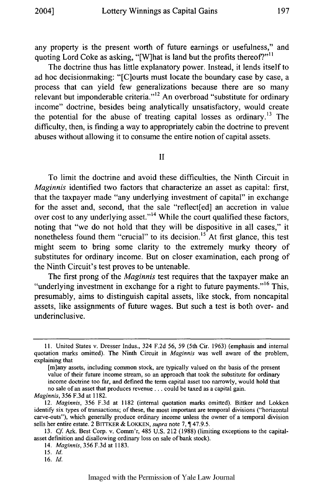any property is the present worth of future earnings or usefulness," and quoting Lord Coke as asking, "[W]hat is land but the profits thereof?"<sup>11</sup>

The doctrine thus has little explanatory power. Instead, it lends itself to ad hoc decisionmaking: "[C]ourts must locate the boundary case by case, a process that can yield few generalizations because there are so many relevant but imponderable criteria."<sup>12</sup> An overbroad "substitute for ordinary income" doctrine, besides being analytically unsatisfactory, would create the potential for the abuse of treating capital losses as ordinary.<sup>13</sup> The difficulty, then, is finding a way to appropriately cabin the doctrine to prevent abuses without allowing it to consume the entire notion of capital assets.

II

To limit the doctrine and avoid these difficulties, the Ninth Circuit in *Maginnis* identified two factors that characterize an asset as capital: first, that the taxpayer made "any underlying investment of capital" in exchange for the asset and, second, that the sale "reflect[ed] an accretion in value over cost to any underlying asset."<sup>14</sup> While the court qualified these factors, noting that "we do not hold that they will be dispositive in all cases," it nonetheless found them "crucial" to its decision.<sup>15</sup> At first glance, this test might seem to bring some clarity to the extremely murky theory of substitutes for ordinary income. But on closer examination, each prong of the Ninth Circuit's test proves to be untenable.

The first prong of the *Maginnis* test requires that the taxpayer make an "underlying investment in exchange for a right to future payments."<sup>16</sup> This, presumably, aims to distinguish capital assets, like stock, from noncapital assets, like assignments of future wages. But such a test is both over- and underinclusive.

*Maginnis,* 356 F.3d at 1182.

<sup>11.</sup> United States v. Dresser Indus., 324 F.2d 56, 59 (5th Cir. 1963) (emphasis and internal quotation marks omitted). The Ninth Circuit in *Maginnis* was well aware of the problem, explaining that

<sup>[</sup>m]any assets, including common stock, are typically valued on the basis of the present value of their future income stream, so an approach that took the substitute for ordinary income doctrine too far, and defined the term capital asset too narrowly, would hold that no sale of an asset that produces revenue **..** could be taxed as a capital gain.

<sup>12.</sup> *Maginnis,* 356 F.3d at 1182 (internal quotation marks omitted). Bittker and Lokken identify six types of transactions; of these, the most important are temporal divisions ("horizontal carve-outs"), which generally produce ordinary income unless the owner of a temporal division sells her entire estate. 2 BITrKER & LOKKEN, *supra* note 7, **1** 47.9.5.

<sup>13.</sup> *Cf* Ark. Best Corp. v. Comm'r, 485 U.S. 212 (1988) (limiting exceptions to the capitalasset definition and disallowing ordinary loss on sale of bank stock).

<sup>14.</sup> *Maginnis,* 356 F.3d at 1183.

*<sup>15.</sup> Id.*

<sup>16.</sup> Id.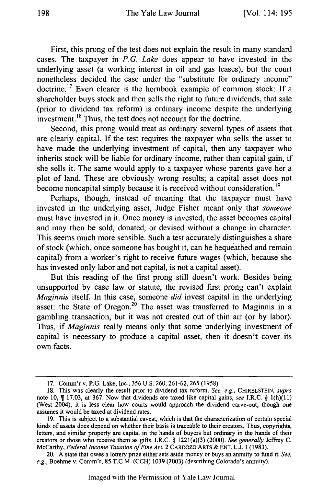First, this prong of the test does not explain the result in many standard cases. The taxpayer in *P.G. Lake* does appear to have invested in the underlying asset (a working interest in oil and gas leases), but the court nonetheless decided the case under the "substitute for ordinary income" doctrine.<sup>17</sup> Even clearer is the hornbook example of common stock: If a shareholder buys stock and then sells the right to future dividends, that sale (prior to dividend tax reform) is ordinary income despite the underlying investment.<sup>18</sup> Thus, the test does not account for the doctrine.

Second, this prong would treat as ordinary several types of assets that are clearly capital. If the test requires the taxpayer who sells the asset to have made the underlying investment of capital, then any taxpayer who inherits stock will be liable for ordinary income, rather than capital gain, if she sells it. The same would apply to a taxpayer whose parents gave her a plot of land. These are obviously wrong results; a capital asset does not become noncapital simply because it is received without consideration.<sup>19</sup>

Perhaps, though, instead of meaning that the taxpayer must have invested in the underlying asset, Judge Fisher meant only that *someone* must have invested in it. Once money is invested, the asset becomes capital and may then be sold, donated, or devised without a change in character. This seems much more sensible. Such a test accurately distinguishes a share of stock (which, once someone has bought it, can be bequeathed and remain capital) from a worker's right to receive future wages (which, because she has invested only labor and not capital, is not a capital asset).

But this reading of the first prong still doesn't work. Besides being unsupported by case law or statute, the revised first prong can't explain *Maginnis* itself. In this case, someone *did* invest capital in the underlying asset: the State of Oregon.<sup>20</sup> The asset was transferred to Maginnis in a gambling transaction, but it was not created out of thin air (or by labor). Thus, if *Maginnis* really means only that some underlying investment of capital is necessary to produce a capital asset, then it doesn't cover its own facts.

Imaged with the Permission of Yale Law Journal

<sup>17.</sup> Comm'rv. P.G. Lake, Inc., 356 U.S. 260, 261-62, 265 (1958).

<sup>18.</sup> This was clearly the result prior to dividend tax reform. *See, e.g.,* CHIRELSTEIN, *supra* note 10,  $\P$  17.03, at 367. Now that dividends are taxed like capital gains, *see I.R.C.* § 1(h)(11) (West 2004), it is less clear how courts would approach the dividend carve-out, though one assumes it would be taxed at dividend rates.

<sup>19.</sup> This is subject to a substantial caveat, which is that the characterization of certain special kinds of assets does depend on whether their basis is traceable to their creators. Thus, copyrights, letters, and similar property are capital in the hands of buyers but ordinary in the hands of their creators or those who receive them as gifts. I.R.C. § 122 1(a)(3) (2000). *See generally* Jeffrey C. McCarthy, *Federal Income Taxation of Fine Art,* 2 CARDOZO ARTS & ENT. L.J. 1 (1983).

<sup>20.</sup> A state that owes a lottery prize either sets aside money or buys an annuity to fund it. *See, e.g.,* Boehme v. Comm'r, 85 T.C.M. (CCH) 1039 (2003) (describing Colorado's annuity).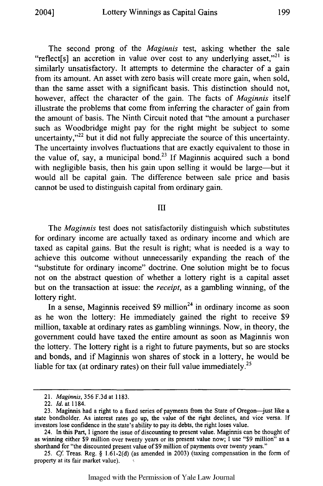The second prong of the *Maginnis* test, asking whether the sale "reflect[s] an accretion in value over cost to any underlying asset,"<sup>21</sup> is similarly unsatisfactory. It attempts to determine the character of a gain from its amount. An asset with zero basis will create more gain, when sold, than the same asset with a significant basis. This distinction should not, however, affect the character of the gain. The facts of *Maginnis* itself illustrate the problems that come from inferring the character of gain from the amount of basis. The Ninth Circuit noted that "the amount a purchaser such as Woodbridge might pay for the right might be subject to some uncertainty, $v^{22}$  but it did not fully appreciate the source of this uncertainty. The uncertainty involves fluctuations that are exactly equivalent to those in the value of, say, a municipal bond.<sup>23</sup> If Maginnis acquired such a bond with negligible basis, then his gain upon selling it would be large—but it would all be capital gain. The difference between sale price and basis cannot be used to distinguish capital from ordinary gain.

## III

The *Maginnis* test does not satisfactorily distinguish which substitutes for ordinary income are actually taxed as ordinary income and which are taxed as capital gains. But the result is right; what is needed is a way to achieve this outcome without unnecessarily expanding the reach of the "substitute for ordinary income" doctrine. One solution might be to focus not on the abstract question of whether a lottery right is a capital asset but on the transaction at issue: the *receipt,* as a gambling winning, of the lottery right.

In a sense, Maginnis received  $$9 \text{ million}^{24}$$  in ordinary income as soon as he won the lottery: He immediately gained the right to receive \$9 million, taxable at ordinary rates as gambling winnings. Now, in theory, the government could have taxed the entire amount as soon as Maginnis won the lottery. The lottery right is a right to future payments, but so are stocks and bonds, and if Maginnis won shares of stock in a lottery, he would be liable for tax (at ordinary rates) on their full value immediately.<sup>25</sup>

<sup>21.</sup> *Maginnis,* 356 F.3d at 1183.

<sup>22.</sup> *Id.* at 1184.

<sup>23.</sup> Maginnis had a right to a fixed series of payments from the State of Oregon-just like a state bondholder. As interest rates go up, the value of the right declines, and vice versa. If investors lose confidence in the state's ability to pay its debts, the right loses value.

<sup>24.</sup> In this Part, I ignore the issue of discounting to present value. Maginnis can be thought of as winning either **\$9** million over twenty years or its present value now; I use "\$9 million" as a shorthand for "the discounted present value of \$9 million of payments over twenty years."

<sup>25.</sup> *Cf.* Treas. Reg. § 1.61-2(d) (as amended in 2003) (taxing compensation in the form of property at its fair market value).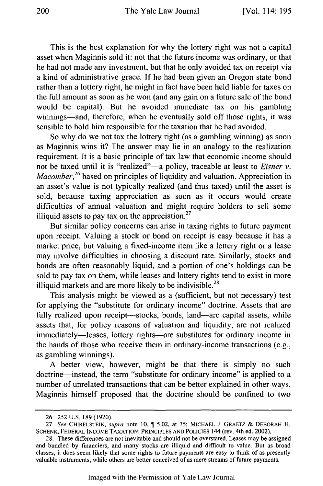This is the best explanation for why the lottery right was not a capital asset when Maginnis sold it: not that the future income was ordinary, or that he had not made any investment, but that he only avoided tax on receipt via a kind of administrative grace. If he had been given an Oregon state bond rather than a lottery right, he might in fact have been held liable for taxes on the full amount as soon as he won (and any gain on a future sale of the bond would be capital). But he avoided immediate tax on his gambling winnings—and, therefore, when he eventually sold off those rights, it was sensible to hold him responsible for the taxation that he had avoided.

So why do we not tax the lottery right (as a gambling winning) as soon as Maginnis wins it? The answer may lie in an analogy to the realization requirement. It is a basic principle of tax law that economic income should not be taxed until it is "realized"-a policy, traceable at least to *Eisner v*. *Macomber*,<sup>26</sup> based on principles of liquidity and valuation. Appreciation in an asset's value is not typically realized (and thus taxed) until the asset is sold, because taxing appreciation as soon as it occurs would create difficulties of annual valuation and might require holders to sell some illiquid assets to pay tax on the appreciation. $27$ 

But similar policy concerns can arise in taxing rights to future payment upon receipt. Valuing a stock or bond on receipt is easy because it has a market price, but valuing a fixed-income item like a lottery right or a lease may involve difficulties in choosing a discount rate. Similarly, stocks and bonds are often reasonably liquid, and a portion of one's holdings can be sold to pay tax on them, while leases and lottery rights tend to exist in more illiquid markets and are more likely to be indivisible. $^{28}$ 

This analysis might be viewed as a (sufficient, but not necessary) test for applying the "substitute for ordinary income" doctrine. Assets that are fully realized upon receipt—stocks, bonds, land—are capital assets, while assets that, for policy reasons of valuation and liquidity, are not realized immediately—leases, lottery rights—are substitutes for ordinary income in the hands of those who receive them in ordinary-income transactions (e.g., as gambling winnings).

A better view, however, might be that there is simply no such doctrine-instead, the term "substitute for ordinary income" is applied to a number of unrelated transactions that can be better explained in other ways. Maginnis himself proposed that the doctrine should be confined to two

<sup>26.</sup> 252 U.S. 189 (1920).

<sup>27.</sup> *See* **CHIRELSTEIN,** *supra* note 10, 5.02, at **75; MICHAEL** J. GRAETZ & DEBORAH H. SCHENK, FEDERAL INCOME TAXATION: PRINCIPLES AND POLICIES 144 (rev. 4th ed. 2002).

<sup>28.</sup> These differences are not inevitable and should not be overstated. Leases may be assigned and bundled by financiers, and many stocks are illiquid and difficult to value. But as broad classes, it does seem likely that some rights to future payments are easy to think of as presently valuable instruments, while others are better conceived of as mere streams of future payments.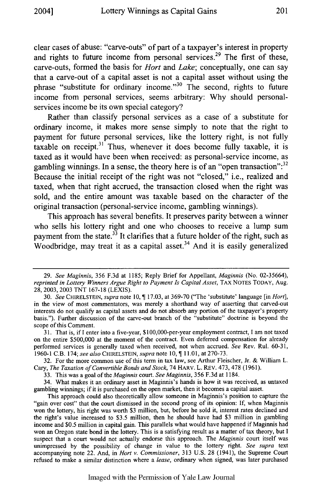clear cases of abuse: "carve-outs" of part of a taxpayer's interest in property and rights to future income from personal services.<sup>29</sup> The first of these, carve-outs, formed the basis for *Hort* and *Lake;* conceptually, one can say that a carve-out of a capital asset is not a capital asset without using the phrase "substitute for ordinary income."<sup>30</sup> The second, rights to future income from personal services, seems arbitrary: **Why** should personalservices income be its own special category?

Rather than classify personal services as a case of a substitute for ordinary income, it makes more sense simply to note that the right to payment for future personal services, like the lottery right, is not fully taxable on receipt.31 Thus, whenever it does become fully taxable, it is taxed as it would have been when received: as personal-service income, as gambling winnings. In a sense, the theory here is of an "open transaction":<sup>32</sup> Because the initial receipt of the right was not "closed," i.e., realized and taxed, when that right accrued, the transaction closed when the right was sold, and the entire amount was taxable based on the character of the original transaction (personal-service income, gambling winnings).

This approach has several benefits. It preserves parity between a winner who sells his lottery right and one who chooses to receive a lump sum payment from the state. $33$  It clarifies that a future holder of the right, such as Woodbridge, may treat it as a capital asset.<sup>34</sup> And it is easily generalized

32. For the more common use of this term in tax law, see Arthur Fleischer, Jr. & William L. *Cary, The Taxation of* Convertible Bonds and Stock, 74 HARV. L. REV. 473, 478 (1961).

33. This was a goal of the *Maginnis* court. *See Maginnis,* 356 F.3d at 1184.

34. What makes it an ordinary asset in Maginnis's hands is how it was received, as untaxed gambling winnings; if it is purchased on the open market, then it becomes a capital asset.

<sup>29.</sup> *See Maginnis,* 356 F.3d at 1185; Reply Brief for Appellant, *Maginnis* (No. 02-35664), *reprinted in Lottery Winners Argue Right to Payment Is Capital Asset, TAX NOTES TODAY, Aug.* 28, 2003, 2003 TNT 167-18 (LEXIS).

<sup>30.</sup> *See* CHIRELSTEIN, *supra* note 10, **1** 17.03, at 369-70 ("The 'substitute' language [in *Hort],* in the view of most commentators, was merely a shorthand way of asserting that carved-out interests do not qualify as capital assets and do not absorb any portion of the taxpayer's property basis."). Further discussion of the carve-out branch of the "substitute" doctrine is beyond the scope of this Comment.

**<sup>3</sup> 1.** That is, if I enter into a five-year, **\$1** 00,000-per-year employment contract, I am not taxed on the entire \$500,000 at the moment of the contract. Even deferred compensation for already performed services is generally taxed when received, not when accrued. *See* Rev. Rul. 60-31, 1960-1 C.B. 174; *see also* CHIRELSTEIN, *supra* note 10, 11.01, at 270-73.

This approach could also theoretically allow someone in Maginnis's position to capture the "gain over cost" that the court dismissed in the second prong of its opinion: If, when Maginnis won the lottery, his right was worth \$3 million, but, before he sold it, interest rates declined and the right's value increased to \$3.5 million, then he should have had \$3 million in gambling income and \$0.5 million in capital gain. This parallels what would have happened if Maginnis had won an Oregon state bond in the lottery. This is a satisfying result as a matter of tax theory, but I suspect that a court would not actually endorse this approach. The *Maginnis* court itself was unimpressed by the possibility of change in value to the lottery right. *See supra* text accompanying note 22. And, in *Hort v. Commissioner,* 313 U.S. 28 (1941), the Supreme Court refused to make a similar distinction where a *lease,* ordinary when signed, was later purchased